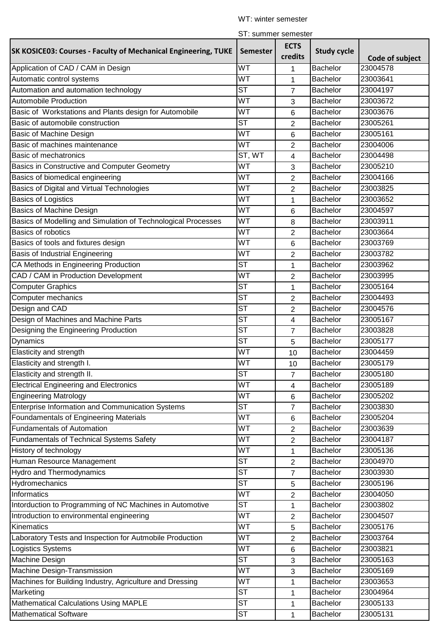## WT: winter semester

|  |  |  |  | ST: summer semester |
|--|--|--|--|---------------------|
|--|--|--|--|---------------------|

|                                                                       |                        | סווויסט וסווווווטר. ו ט |                    |                 |
|-----------------------------------------------------------------------|------------------------|-------------------------|--------------------|-----------------|
| <b>SK KOSICE03: Courses - Faculty of Mechanical Engineering, TUKE</b> | <b>Semester</b>        | <b>ECTS</b><br>credits  | <b>Study cycle</b> | Code of subject |
| Application of CAD / CAM in Design                                    | WT                     | 1                       | Bachelor           | 23004578        |
| Automatic control systems                                             | <b>WT</b>              | 1                       | Bachelor           | 23003641        |
| Automation and automation technology                                  | <b>ST</b>              | 7                       | Bachelor           | 23004197        |
| <b>Automobile Production</b>                                          | WT                     | 3                       | Bachelor           | 23003672        |
| Basic of Workstations and Plants design for Automobile                | WT                     | 6                       | <b>Bachelor</b>    | 23003676        |
| Basic of automobile construction                                      | <b>ST</b>              | 2                       | <b>Bachelor</b>    | 23005261        |
| Basic of Machine Design                                               | WT                     | 6                       | Bachelor           | 23005161        |
| Basic of machines maintenance                                         | WT                     | 2                       | Bachelor           | 23004006        |
| <b>Basic of mechatronics</b>                                          | ST, WT                 | 4                       | Bachelor           | 23004498        |
| Basics in Constructive and Computer Geometry                          | WT                     | 3                       | <b>Bachelor</b>    | 23005210        |
| Basics of biomedical engineering                                      | WT                     | 2                       | Bachelor           | 23004166        |
| Basics of Digital and Virtual Technologies                            | <b>WT</b>              | 2                       | <b>Bachelor</b>    | 23003825        |
| <b>Basics of Logistics</b>                                            | WT                     | 1                       | Bachelor           | 23003652        |
| <b>Basics of Machine Design</b>                                       | WT                     | 6                       | Bachelor           | 23004597        |
| Basics of Modelling and Simulation of Technological Processes         | WT                     | 8                       | <b>Bachelor</b>    | 23003911        |
| Basics of robotics                                                    | WT                     | 2                       | <b>Bachelor</b>    | 23003664        |
| Basics of tools and fixtures design                                   | WT                     | 6                       | Bachelor           | 23003769        |
| <b>Basis of Industrial Engineering</b>                                | WT                     | $\overline{2}$          | Bachelor           | 23003782        |
| CA Methods in Engineering Production                                  | <b>ST</b>              | 1                       | Bachelor           | 23003962        |
| CAD / CAM in Production Development                                   | WT                     | 2                       | Bachelor           | 23003995        |
| <b>Computer Graphics</b>                                              | <b>ST</b>              | 1                       | Bachelor           | 23005164        |
| Computer mechanics                                                    | <b>ST</b>              | $\overline{2}$          | <b>Bachelor</b>    | 23004493        |
| Design and CAD                                                        | <b>ST</b>              | $\overline{2}$          | Bachelor           | 23004576        |
| Design of Machines and Machine Parts                                  | <b>ST</b>              | 4                       | <b>Bachelor</b>    | 23005167        |
| Designing the Engineering Production                                  | <b>ST</b>              | $\overline{7}$          | <b>Bachelor</b>    | 23003828        |
| <b>Dynamics</b>                                                       | <b>ST</b>              | 5                       | Bachelor           | 23005177        |
| Elasticity and strength                                               | <b>WT</b>              | 10                      | Bachelor           | 23004459        |
| Elasticity and strength I.                                            | WT                     | 10                      | Bachelor           | 23005179        |
| Elasticity and strength II.                                           | $\overline{\text{ST}}$ | 7                       | <b>Bachelor</b>    | 23005180        |
| <b>Electrical Engineering and Electronics</b>                         | <b>WT</b>              | 4                       | Bachelor           | 23005189        |
| <b>Engineering Matrology</b>                                          | WT                     | 6                       | Bachelor           | 23005202        |
| Enterprise Information and Communication Systems                      | <b>ST</b>              | $\overline{7}$          | <b>Bachelor</b>    | 23003830        |
| Foundamentals of Engineering Materials                                | WT                     | 6                       | Bachelor           | 23005204        |
| <b>Fundamentals of Automation</b>                                     | WT                     | 2                       | Bachelor           | 23003639        |
| <b>Fundamentals of Technical Systems Safety</b>                       | <b>WT</b>              | 2                       | Bachelor           | 23004187        |
| History of technology                                                 | WT                     | 1                       | Bachelor           | 23005136        |
| Human Resource Management                                             | <b>ST</b>              | 2                       | Bachelor           | 23004970        |
| <b>Hydro and Thermodynamics</b>                                       | <b>ST</b>              | 7                       | Bachelor           | 23003930        |
| Hydromechanics                                                        | <b>ST</b>              | 5                       | Bachelor           | 23005196        |
| Informatics                                                           | WT                     | $\overline{2}$          | Bachelor           | 23004050        |
| Intorduction to Programming of NC Machines in Automotive              | <b>ST</b>              | 1                       | Bachelor           | 23003802        |
| Introduction to environmental engineering                             | WT                     | 2                       | Bachelor           | 23004507        |
| Kinematics                                                            | WT                     | 5                       | Bachelor           | 23005176        |
| Laboratory Tests and Inspection for Autmobile Production              | WT                     | $\overline{2}$          | Bachelor           | 23003764        |
| Logistics Systems                                                     | WT                     | 6                       | Bachelor           | 23003821        |
| Machine Design                                                        | <b>ST</b>              |                         | Bachelor           | 23005163        |
| Machine Design-Transmission                                           | WT                     | 3                       | Bachelor           | 23005169        |
| Machines for Building Industry, Agriculture and Dressing              | WT                     | 3                       | Bachelor           | 23003653        |
| Marketing                                                             | <b>ST</b>              | 1                       | Bachelor           | 23004964        |
| <b>Mathematical Calculations Using MAPLE</b>                          | <b>ST</b>              | 1                       | Bachelor           | 23005133        |
| <b>Mathematical Software</b>                                          | <b>ST</b>              | 1                       | Bachelor           | 23005131        |
|                                                                       |                        | 1                       |                    |                 |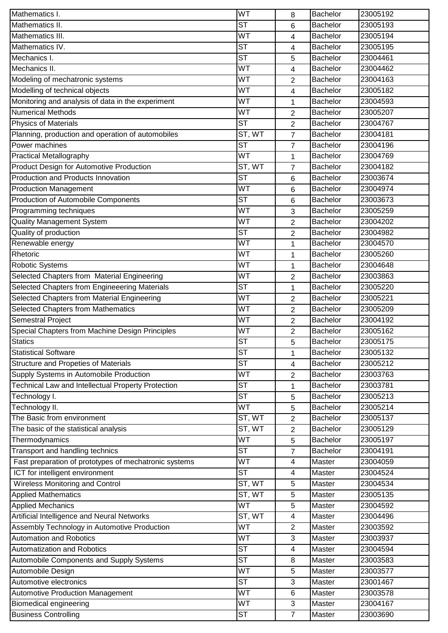| Mathematics I.                                                                  | WT                     | 8                       | Bachelor         | 23005192             |
|---------------------------------------------------------------------------------|------------------------|-------------------------|------------------|----------------------|
| Mathematics II.                                                                 | <b>ST</b>              | 6                       | Bachelor         | 23005193             |
| Mathematics III.                                                                | WT                     | 4                       | Bachelor         | 23005194             |
| Mathematics IV.                                                                 | <b>ST</b>              | 4                       | <b>Bachelor</b>  | 23005195             |
| Mechanics I.                                                                    | $\overline{\text{ST}}$ | 5                       | Bachelor         | 23004461             |
| Mechanics II.                                                                   | WT                     | $\overline{\mathbf{4}}$ | Bachelor         | 23004462             |
| Modeling of mechatronic systems                                                 | <b>WT</b>              | 2                       | Bachelor         | 23004163             |
| Modelling of technical objects                                                  | WT                     | 4                       | Bachelor         | 23005182             |
| Monitoring and analysis of data in the experiment                               | WT                     | 1                       | Bachelor         | 23004593             |
| <b>Numerical Methods</b>                                                        | WT                     | 2                       | <b>Bachelor</b>  | 23005207             |
| <b>Physics of Materials</b>                                                     | <b>ST</b>              | $\overline{2}$          | <b>Bachelor</b>  | 23004767             |
| Planning, production and operation of automobiles                               | ST, WT                 | 7                       | Bachelor         | 23004181             |
| Power machines                                                                  | $\overline{\text{ST}}$ | $\overline{7}$          | Bachelor         | 23004196             |
| <b>Practical Metallography</b>                                                  | <b>WT</b>              | 1                       | Bachelor         | 23004769             |
| <b>Product Design for Automotive Production</b>                                 | ST, WT                 | $\overline{7}$          | Bachelor         | 23004182             |
| Production and Products Innovation                                              | <b>ST</b>              | 6                       | <b>Bachelor</b>  | 23003674             |
| <b>Production Management</b>                                                    | WT                     | 6                       | <b>Bachelor</b>  | 23004974             |
| Production of Automobile Components                                             | <b>ST</b>              | 6                       | <b>Bachelor</b>  | 23003673             |
| Programming techniques                                                          | WT                     | 3                       | Bachelor         | 23005259             |
| <b>Quality Management System</b>                                                | WT                     | 2                       | Bachelor         | 23004202             |
| Quality of production                                                           | <b>ST</b>              | $\overline{2}$          | Bachelor         | 23004982             |
| Renewable energy                                                                | WT                     | 1                       | Bachelor         | 23004570             |
| Rhetoric                                                                        | WT                     | 1                       | <b>Bachelor</b>  | 23005260             |
| <b>Robotic Systems</b>                                                          | WT                     | 1                       | Bachelor         | 23004648             |
| Selected Chapters from Material Engineering                                     | WT                     | $\overline{2}$          | Bachelor         | 23003863             |
| Selected Chapters from Engineeering Materials                                   | <b>ST</b>              | 1                       | Bachelor         | 23005220             |
| Selected Chapters from Material Engineering                                     | <b>WT</b>              | $\overline{2}$          | Bachelor         | 23005221             |
| Selected Chapters from Mathematics                                              | WT                     | 2                       | <b>Bachelor</b>  | 23005209             |
|                                                                                 |                        |                         |                  |                      |
|                                                                                 | WT                     |                         | Bachelor         | 23004192             |
| <b>Semestral Project</b><br>Special Chapters from Machine Design Principles     | WT                     | 2                       | Bachelor         | 23005162             |
| <b>Statics</b>                                                                  | <b>ST</b>              | $\overline{2}$          | Bachelor         | 23005175             |
| <b>Statistical Software</b>                                                     | <b>ST</b>              | 5                       | Bachelor         | 23005132             |
|                                                                                 | <b>ST</b>              | 1<br>4                  | Bachelor         | 23005212             |
| Structure and Propeties of Materials<br>Supply Systems in Automobile Production | WT                     |                         | Bachelor         | 23003763             |
|                                                                                 | <b>ST</b>              | $\overline{2}$          | Bachelor         | 23003781             |
| Technical Law and Intellectual Property Protection                              | <b>ST</b>              | 1                       | <b>Bachelor</b>  | 23005213             |
| Technology I.                                                                   | WT                     | 5                       | Bachelor         | 23005214             |
| Technology II.                                                                  |                        | 5                       | Bachelor         | 23005137             |
| The Basic from environment                                                      | ST, WT                 | $\overline{2}$          | Bachelor         | 23005129             |
| The basic of the statistical analysis                                           | ST, WT<br><b>WT</b>    | $\overline{c}$          | Bachelor         | 23005197             |
| Thermodynamics                                                                  | $\overline{\text{ST}}$ | 5                       | <b>Bachelor</b>  | 23004191             |
| Transport and handling technics                                                 | WT                     | 7<br>4                  | Master           | 23004059             |
| Fast preparation of prototypes of mechatronic systems                           | <b>ST</b>              | 4                       |                  |                      |
| ICT for intelligent environment                                                 |                        |                         | Master           | 23004524             |
| Wireless Monitoring and Control                                                 | ST, WT                 | $\sqrt{5}$              | Master           | 23004534             |
| <b>Applied Mathematics</b>                                                      | ST, WT                 | $\sqrt{5}$              | Master           | 23005135             |
| <b>Applied Mechanics</b>                                                        | $\overline{\text{WT}}$ | 5                       | Master           | 23004592             |
| Artificial Intelligence and Neural Networks                                     | ST, WT                 | 4                       | Master           | 23004496             |
| Assembly Technology in Automotive Production                                    | $\overline{\text{WT}}$ | 2                       | Master           | 23003592             |
| <b>Automation and Robotics</b>                                                  | <b>WT</b>              | 3                       | Master           | 23003937             |
| Automatization and Robotics                                                     | <b>ST</b>              | 4                       | Master           | 23004594             |
| Automobile Components and Supply Systems                                        | <b>ST</b>              | 8                       | Master           | 23003583             |
| Automobile Design                                                               | WT                     | 5                       | Master           | 23003577             |
| Automotive electronics                                                          | $\overline{\text{ST}}$ | 3                       | Master           | 23001467             |
| <b>Automotive Production Management</b>                                         | WT<br>WT               | 6                       | Master           | 23003578             |
| <b>Biomedical engineering</b><br><b>Business Controlling</b>                    | <b>ST</b>              | 3<br>$\overline{7}$     | Master<br>Master | 23004167<br>23003690 |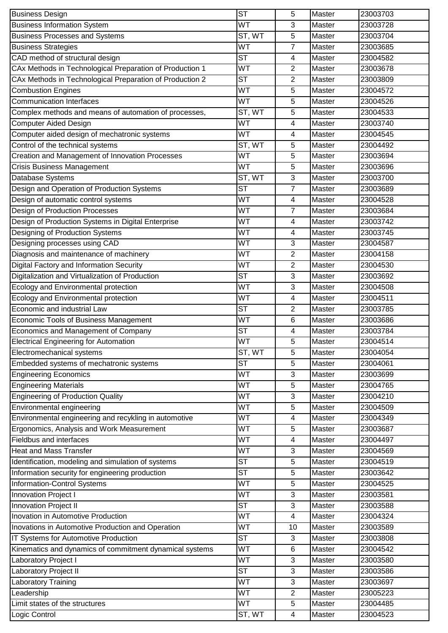| <b>Business Design</b>                                   | <b>ST</b>              | 5                       | Master        | 23003703 |
|----------------------------------------------------------|------------------------|-------------------------|---------------|----------|
| <b>Business Information System</b>                       | <b>WT</b>              | 3                       | Master        | 23003728 |
| <b>Business Processes and Systems</b>                    | ST, WT                 | 5                       | Master        | 23003704 |
| <b>Business Strategies</b>                               | <b>WT</b>              | $\overline{7}$          | Master        | 23003685 |
| CAD method of structural design                          | $\overline{\text{ST}}$ | $\overline{4}$          | Master        | 23004582 |
| CAx Methods in Technological Preparation of Production 1 | WT                     | $\overline{2}$          | Master        | 23003678 |
| CAx Methods in Technological Preparation of Production 2 | <b>ST</b>              | 2                       | Master        | 23003809 |
| <b>Combustion Engines</b>                                | <b>WT</b>              | 5                       | Master        | 23004572 |
| <b>Communication Interfaces</b>                          | WT                     | 5                       | Master        | 23004526 |
| Complex methods and means of automation of processes,    | ST, WT                 | 5                       | Master        | 23004533 |
| <b>Computer Aided Design</b>                             | WT                     | 4                       | Master        | 23003740 |
| Computer aided design of mechatronic systems             | WT                     | 4                       | Master        | 23004545 |
| Control of the technical systems                         | ST, WT                 | 5                       | Master        | 23004492 |
| Creation and Management of Innovation Processes          | <b>WT</b>              | 5                       | Master        | 23003694 |
| <b>Crisis Business Management</b>                        | <b>WT</b>              | 5                       | Master        | 23003696 |
| Database Systems                                         | ST, WT                 | 3                       | Master        | 23003700 |
| Design and Operation of Production Systems               | <b>ST</b>              | $\overline{7}$          | Master        | 23003689 |
| Design of automatic control systems                      | WT                     | 4                       | Master        | 23004528 |
| <b>Design of Production Processes</b>                    | <b>WT</b>              | 7                       | Master        | 23003684 |
| Design of Production Systems in Digital Enterprise       | <b>WT</b>              | 4                       | Master        | 23003742 |
| Designing of Production Systems                          | WT                     | 4                       | Master        | 23003745 |
| Designing processes using CAD                            | <b>WT</b>              | $\sqrt{3}$              | Master        | 23004587 |
| Diagnosis and maintenance of machinery                   | <b>WT</b>              | $\overline{c}$          | Master        | 23004158 |
| <b>Digital Factory and Information Security</b>          | <b>WT</b>              | $\overline{2}$          | Master        | 23004530 |
| Digitalization and Virtualization of Production          | <b>ST</b>              | 3                       | Master        | 23003692 |
| Ecology and Environmental protection                     | <b>WT</b>              | 3                       | Master        | 23004508 |
| Ecology and Environmental protection                     | WT                     | 4                       | Master        | 23004511 |
| Economic and industrial Law                              | <b>ST</b>              | $\overline{2}$          | Master        | 23003785 |
| Economic Tools of Business Management                    | WT                     | $\,6\,$                 | Master        | 23003686 |
| Economics and Management of Company                      | <b>ST</b>              | 4                       | Master        | 23003784 |
| <b>Electrical Engineering for Automation</b>             | WT                     | 5                       | Master        | 23004514 |
| Electromechanical systems                                | ST, WT                 | 5                       | Master        | 23004054 |
| Embedded systems of mechatronic systems                  | <b>ST</b>              | 5                       | Master        | 23004061 |
| <b>Engineering Economics</b>                             | <b>WT</b>              | 3                       | Master        | 23003699 |
| <b>Engineering Materials</b>                             | WT                     | 5                       | Master        | 23004765 |
| <b>Engineering of Production Quality</b>                 | WT                     | 3                       | Master        | 23004210 |
| Environmental engineering                                | WT                     | 5                       | <b>Master</b> | 23004509 |
| Environmental engineering and recykling in automotive    | <b>WT</b>              | 4                       | Master        | 23004349 |
| Ergonomics, Analysis and Work Measurement                | WT                     | $\sqrt{5}$              | Master        | 23003687 |
| Fieldbus and interfaces                                  | WT                     | 4                       | Master        | 23004497 |
| <b>Heat and Mass Transfer</b>                            | WT                     | 3                       | Master        | 23004569 |
| Identification, modeling and simulation of systems       | <b>ST</b>              | 5                       | Master        | 23004519 |
| Information security for engineering production          | <b>ST</b>              | 5                       | Master        | 23003642 |
| Information-Control Systems                              | <b>WT</b>              | 5                       | Master        | 23004525 |
| Innovation Project I                                     | WT                     | 3                       | Master        | 23003581 |
| Innovation Project II                                    | <b>ST</b>              | $\mathfrak{S}$          | <b>Master</b> | 23003588 |
| Inovation in Automotive Production                       | WT                     | 4                       | Master        | 23004324 |
| Inovations in Automotive Production and Operation        | WT                     | 10                      | Master        | 23003589 |
| IT Systems for Automotive Production                     | <b>ST</b>              | $\sqrt{3}$              | Master        | 23003808 |
| Kinematics and dynamics of commitment dynamical systems  | WT                     | 6                       | Master        | 23004542 |
| Laboratory Project I                                     | WT                     | 3                       | Master        | 23003580 |
| <b>Laboratory Project II</b>                             | $\overline{\text{ST}}$ | 3                       | Master        | 23003586 |
| <b>Laboratory Training</b>                               | WT                     | $\sqrt{3}$              | Master        | 23003697 |
| Leadership                                               | WT                     | $\overline{c}$          | Master        | 23005223 |
| Limit states of the structures                           | <b>WT</b>              | 5                       | Master        | 23004485 |
| Logic Control                                            | ST, WT                 | $\overline{\mathbf{4}}$ | Master        | 23004523 |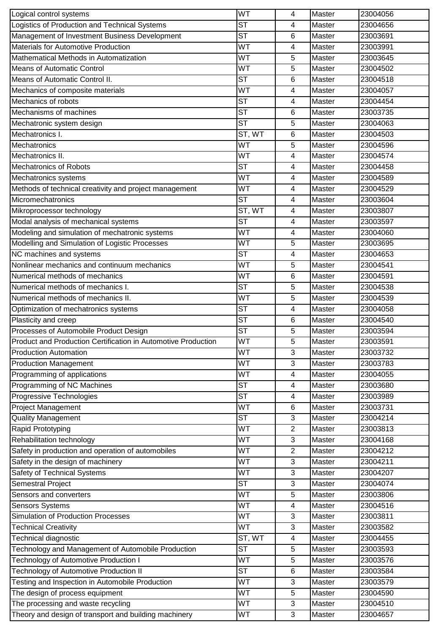| Logical control systems                                       | WT                     | 4              | Master        | 23004056 |
|---------------------------------------------------------------|------------------------|----------------|---------------|----------|
| Logistics of Production and Technical Systems                 |                        | 4              | Master        | 23004656 |
| Management of Investment Business Development                 |                        | 6              | Master        | 23003691 |
| Materials for Automotive Production                           | WT                     | 4              | Master        | 23003991 |
| Mathematical Methods in Automatization                        | WT                     | 5              | Master        | 23003645 |
| <b>Means of Automatic Control</b>                             | WT                     | 5              | Master        | 23004502 |
| Means of Automatic Control II.                                | <b>ST</b>              | 6              | Master        | 23004518 |
| Mechanics of composite materials                              | WT                     | 4              | Master        | 23004057 |
| Mechanics of robots                                           | $\overline{\text{ST}}$ | 4              | Master        | 23004454 |
| Mechanisms of machines                                        | <b>ST</b>              | 6              | Master        | 23003735 |
| Mechatronic system design                                     | $\overline{\text{ST}}$ | 5              | Master        | 23004063 |
| Mechatronics I.                                               | ST, WT                 | 6              | Master        | 23004503 |
| Mechatronics                                                  | WT                     | 5              | <b>Master</b> | 23004596 |
| Mechatronics II.                                              | WT                     | 4              | Master        | 23004574 |
| Mechatronics of Robots                                        | $\overline{\text{ST}}$ | 4              | Master        | 23004458 |
| Mechatronics systems                                          | WT                     | 4              | Master        | 23004589 |
| Methods of technical creativity and project management        | WT                     | 4              | Master        | 23004529 |
| Micromechatronics                                             | <b>ST</b>              | 4              | Master        | 23003604 |
| Mikroprocessor technology                                     | ST, WT                 | $\overline{4}$ | Master        | 23003807 |
| Modal analysis of mechanical systems                          | $\overline{\text{ST}}$ | 4              | Master        | 23003597 |
| Modeling and simulation of mechatronic systems                | WT                     | 4              | Master        | 23004060 |
| Modelling and Simulation of Logistic Processes                | $\overline{W}$ T       | 5              | Master        | 23003695 |
| NC machines and systems                                       | <b>ST</b>              | 4              | Master        | 23004653 |
| Nonlinear mechanics and continuum mechanics                   | WT                     | 5              | Master        | 23004541 |
| Numerical methods of mechanics                                | WT                     | $\,6$          | Master        | 23004591 |
| Numerical methods of mechanics I.                             | $\overline{\text{ST}}$ | 5              | Master        | 23004538 |
| Numerical methods of mechanics II.                            | WT                     | 5              | Master        | 23004539 |
| Optimization of mechatronics systems                          | <b>ST</b>              | 4              | Master        | 23004058 |
| Plasticity and creep                                          | <b>ST</b>              | 6              | Master        | 23004540 |
| Processes of Automobile Product Design                        | <b>ST</b>              | 5              | Master        | 23003594 |
| Product and Production Certification in Automotive Production | WT                     | 5              | Master        | 23003591 |
| <b>Production Automation</b>                                  | WT                     | 3              | Master        | 23003732 |
| <b>Production Management</b>                                  | WT                     | 3              | Master        | 23003783 |
| Programming of applications                                   | WT                     | 4              | Master        | 23004055 |
| Programming of NC Machines                                    | <b>ST</b>              | 4              | Master        | 23003680 |
| Progressive Technologies                                      | <b>ST</b>              | 4              | Master        | 23003989 |
| <b>Project Management</b>                                     | WT                     | $\,6$          | Master        | 23003731 |
| <b>Quality Management</b>                                     | $\overline{\text{ST}}$ | 3              | Master        | 23004214 |
| <b>Rapid Prototyping</b>                                      | WT                     | $\overline{2}$ | Master        | 23003813 |
| Rehabilitation technology                                     | WT                     | 3              | Master        | 23004168 |
| Safety in production and operation of automobiles             | WT                     | $\overline{2}$ | Master        | 23004212 |
| Safety in the design of machinery                             | WT                     | 3              | Master        | 23004211 |
| Safety of Technical Systems                                   | WT                     | 3              | Master        | 23004207 |
| Semestral Project                                             | <b>ST</b>              | 3              | Master        | 23004074 |
| Sensors and converters                                        | WT                     | 5              | Master        | 23003806 |
| <b>Sensors Systems</b>                                        | WT                     | $\overline{4}$ | Master        | 23004516 |
| <b>Simulation of Production Processes</b>                     | WT                     | 3              | Master        | 23003811 |
| <b>Technical Creativity</b>                                   | WT                     | 3              | Master        | 23003582 |
| Technical diagnostic                                          | ST, WT                 | 4              | Master        | 23004455 |
| Technology and Management of Automobile Production            | <b>ST</b>              | 5              | Master        | 23003593 |
| <b>Technology of Automotive Production I</b>                  | WT                     | 5              | Master        | 23003576 |
| Technology of Automotive Production II                        | $\overline{\text{ST}}$ | 6              | Master        | 23003584 |
| Testing and Inspection in Automobile Production               | WT                     | 3              | Master        | 23003579 |
| The design of process equipment                               | WT                     | 5              | Master        | 23004590 |
| The processing and waste recycling                            | WT                     | 3              | Master        | 23004510 |
|                                                               | WT                     | 3              | Master        | 23004657 |
| Theory and design of transport and building machinery         |                        |                |               |          |